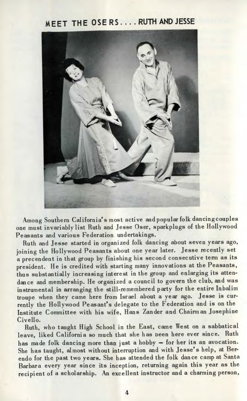## **MEET THE OSE RS ... . RUTH AND JESSE**



Among Southern California's most active and popular folk dancingcouples one must invariably list Ruth and Jesse Oser, sparkplugs of the Hollywood Peasants and various Federation undertakings.

Ruth and Jesse started in organized folk dancing about seven years ago, joining the Hollywood Peasants about one year later. Jesse recently set a precendent in that group by finishing his second consecutive term as its president. He is credited with starting many innovations at the Peasants, thus substantially increasing interest in the group and enlarging its attendance and membership. He organized a council to govern the club, and was instrumental in arranging the still-remembered party for the entire Inbalim troupe when they came here from Israel about a year ago. Jesse is currently the Hollywood Peasant's delegate to the Federation and is on the Institute Committee with his wife, Hans Zander and Chairman Josephine Civello.

Ruth, who taught High School in the East, came West on a sabbatical leave, liked California so much that she has Deen here ever since. Ruth has made folk dancing more than just a hobby — for her its an avocation. She has taught, almost without interruption and with Jesse's help, at Berendo for the past two years. She has attended the folk dance camp at Santa Barbara every year since its inception, returning again this year as the recipient of a scholarship. An excellent instructor and a charming person,

4